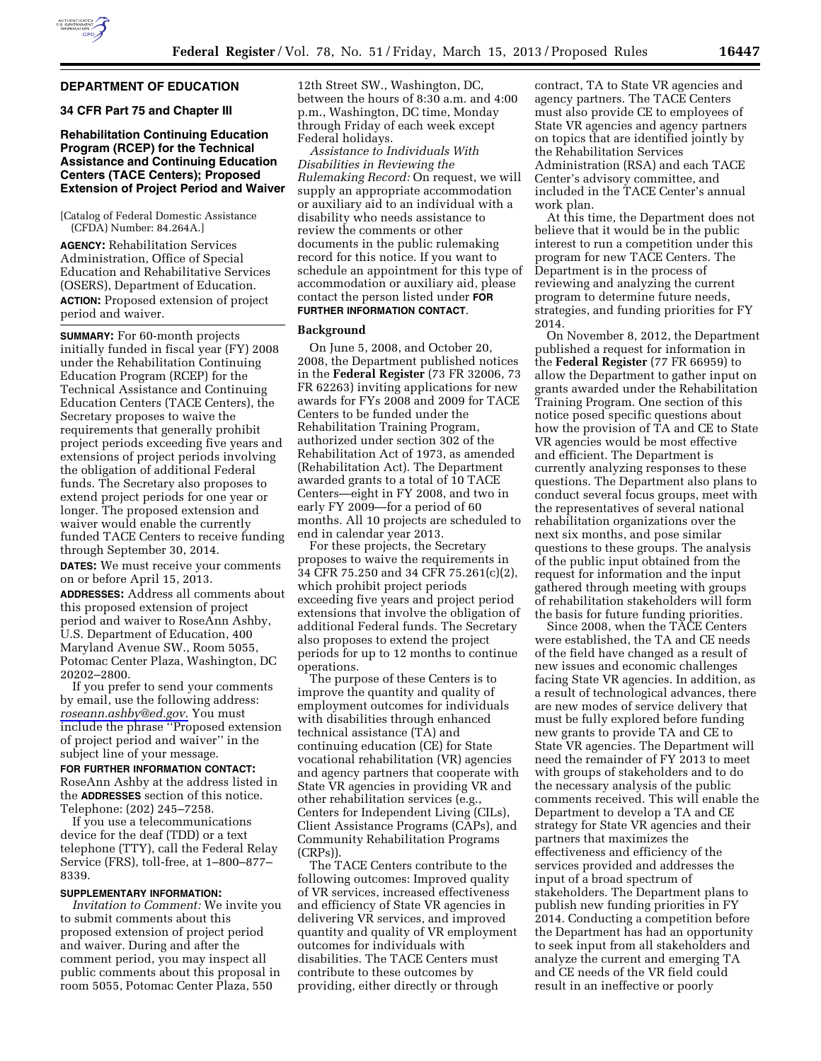## **DEPARTMENT OF EDUCATION**

## **34 CFR Part 75 and Chapter III**

# **Rehabilitation Continuing Education Program (RCEP) for the Technical Assistance and Continuing Education Centers (TACE Centers); Proposed Extension of Project Period and Waiver**

[Catalog of Federal Domestic Assistance (CFDA) Number: 84.264A.]

**AGENCY:** Rehabilitation Services Administration, Office of Special Education and Rehabilitative Services (OSERS), Department of Education. **ACTION:** Proposed extension of project period and waiver.

**SUMMARY:** For 60-month projects initially funded in fiscal year (FY) 2008 under the Rehabilitation Continuing Education Program (RCEP) for the Technical Assistance and Continuing Education Centers (TACE Centers), the Secretary proposes to waive the requirements that generally prohibit project periods exceeding five years and extensions of project periods involving the obligation of additional Federal funds. The Secretary also proposes to extend project periods for one year or longer. The proposed extension and waiver would enable the currently funded TACE Centers to receive funding through September 30, 2014.

**DATES:** We must receive your comments on or before April 15, 2013.

**ADDRESSES:** Address all comments about this proposed extension of project period and waiver to RoseAnn Ashby, U.S. Department of Education, 400 Maryland Avenue SW., Room 5055, Potomac Center Plaza, Washington, DC 20202–2800.

If you prefer to send your comments by email, use the following address: *[roseann.ashby@ed.gov](mailto:roseann.ashby@ed.gov)*. You must include the phrase ''Proposed extension of project period and waiver'' in the subject line of your message.

## **FOR FURTHER INFORMATION CONTACT:**

RoseAnn Ashby at the address listed in the **ADDRESSES** section of this notice. Telephone: (202) 245–7258.

If you use a telecommunications device for the deaf (TDD) or a text telephone (TTY), call the Federal Relay Service (FRS), toll-free, at 1–800–877– 8339.

## **SUPPLEMENTARY INFORMATION:**

*Invitation to Comment:* We invite you to submit comments about this proposed extension of project period and waiver. During and after the comment period, you may inspect all public comments about this proposal in room 5055, Potomac Center Plaza, 550

12th Street SW., Washington, DC, between the hours of 8:30 a.m. and 4:00 p.m., Washington, DC time, Monday through Friday of each week except Federal holidays.

*Assistance to Individuals With Disabilities in Reviewing the Rulemaking Record:* On request, we will supply an appropriate accommodation or auxiliary aid to an individual with a disability who needs assistance to review the comments or other documents in the public rulemaking record for this notice. If you want to schedule an appointment for this type of accommodation or auxiliary aid, please contact the person listed under **FOR FURTHER INFORMATION CONTACT**.

### **Background**

On June 5, 2008, and October 20, 2008, the Department published notices in the **Federal Register** (73 FR 32006, 73 FR 62263) inviting applications for new awards for FYs 2008 and 2009 for TACE Centers to be funded under the Rehabilitation Training Program, authorized under section 302 of the Rehabilitation Act of 1973, as amended (Rehabilitation Act). The Department awarded grants to a total of 10 TACE Centers—eight in FY 2008, and two in early FY 2009—for a period of 60 months. All 10 projects are scheduled to end in calendar year 2013.

For these projects, the Secretary proposes to waive the requirements in 34 CFR 75.250 and 34 CFR 75.261(c)(2), which prohibit project periods exceeding five years and project period extensions that involve the obligation of additional Federal funds. The Secretary also proposes to extend the project periods for up to 12 months to continue operations.

The purpose of these Centers is to improve the quantity and quality of employment outcomes for individuals with disabilities through enhanced technical assistance (TA) and continuing education (CE) for State vocational rehabilitation (VR) agencies and agency partners that cooperate with State VR agencies in providing VR and other rehabilitation services (e.g., Centers for Independent Living (CILs), Client Assistance Programs (CAPs), and Community Rehabilitation Programs (CRPs)).

The TACE Centers contribute to the following outcomes: Improved quality of VR services, increased effectiveness and efficiency of State VR agencies in delivering VR services, and improved quantity and quality of VR employment outcomes for individuals with disabilities. The TACE Centers must contribute to these outcomes by providing, either directly or through

contract, TA to State VR agencies and agency partners. The TACE Centers must also provide CE to employees of State VR agencies and agency partners on topics that are identified jointly by the Rehabilitation Services Administration (RSA) and each TACE Center's advisory committee, and included in the TACE Center's annual work plan.

At this time, the Department does not believe that it would be in the public interest to run a competition under this program for new TACE Centers. The Department is in the process of reviewing and analyzing the current program to determine future needs, strategies, and funding priorities for FY 2014.

On November 8, 2012, the Department published a request for information in the **Federal Register** (77 FR 66959) to allow the Department to gather input on grants awarded under the Rehabilitation Training Program. One section of this notice posed specific questions about how the provision of TA and CE to State VR agencies would be most effective and efficient. The Department is currently analyzing responses to these questions. The Department also plans to conduct several focus groups, meet with the representatives of several national rehabilitation organizations over the next six months, and pose similar questions to these groups. The analysis of the public input obtained from the request for information and the input gathered through meeting with groups of rehabilitation stakeholders will form the basis for future funding priorities.

Since 2008, when the TACE Centers were established, the TA and CE needs of the field have changed as a result of new issues and economic challenges facing State VR agencies. In addition, as a result of technological advances, there are new modes of service delivery that must be fully explored before funding new grants to provide TA and CE to State VR agencies. The Department will need the remainder of FY 2013 to meet with groups of stakeholders and to do the necessary analysis of the public comments received. This will enable the Department to develop a TA and CE strategy for State VR agencies and their partners that maximizes the effectiveness and efficiency of the services provided and addresses the input of a broad spectrum of stakeholders. The Department plans to publish new funding priorities in FY 2014. Conducting a competition before the Department has had an opportunity to seek input from all stakeholders and analyze the current and emerging TA and CE needs of the VR field could result in an ineffective or poorly